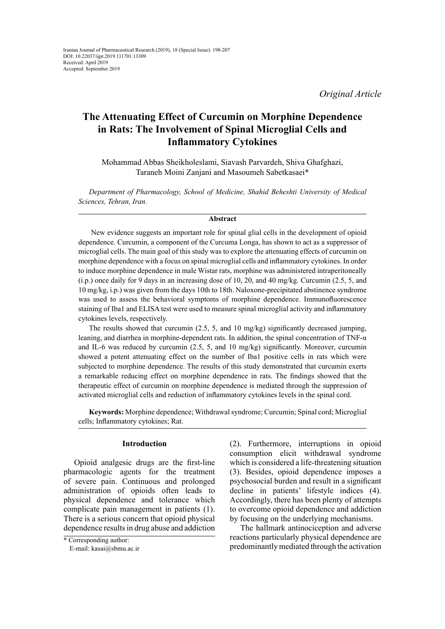*Original Article*

# **The Attenuating Effect of Curcumin on Morphine Dependence in Rats: The Involvement of Spinal Microglial Cells and Inflammatory Cytokines**

Mohammad Abbas Sheikholeslami, Siavash Parvardeh, Shiva Ghafghazi, Taraneh Moini Zanjani and Masoumeh Sabetkasaei\*

*Department of Pharmacology, School of Medicine, Shahid Beheshti University of Medical Sciences, Tehran, Iran.*

## **Abstract**

 New evidence suggests an important role for spinal glial cells in the development of opioid dependence. Curcumin, a component of the Curcuma Longa, has shown to act as a suppressor of microglial cells. The main goal of this study was to explore the attenuating effects of curcumin on morphine dependence with a focus on spinal microglial cells and inflammatory cytokines. In order to induce morphine dependence in male Wistar rats, morphine was administered intraperitoneally (i.p.) once daily for 9 days in an increasing dose of 10, 20, and 40 mg/kg. Curcumin (2.5, 5, and 10 mg/kg, i.p.) was given from the days 10th to 18th. Naloxone-precipitated abstinence syndrome was used to assess the behavioral symptoms of morphine dependence. Immunofluorescence staining of Iba1 and ELISA test were used to measure spinal microglial activity and inflammatory cytokines levels, respectively.

The results showed that curcumin (2.5, 5, and 10 mg/kg) significantly decreased jumping, leaning, and diarrhea in morphine-dependent rats. In addition, the spinal concentration of TNF-α and IL-6 was reduced by curcumin (2.5, 5, and 10 mg/kg) significantly. Moreover, curcumin showed a potent attenuating effect on the number of Iba1 positive cells in rats which were subjected to morphine dependence. The results of this study demonstrated that curcumin exerts a remarkable reducing effect on morphine dependence in rats. The findings showed that the therapeutic effect of curcumin on morphine dependence is mediated through the suppression of activated microglial cells and reduction of inflammatory cytokines levels in the spinal cord.

**Keywords:** Morphine dependence; Withdrawal syndrome; Curcumin; Spinal cord; Microglial cells; Inflammatory cytokines; Rat.

#### **Introduction**

Opioid analgesic drugs are the first-line pharmacologic agents for the treatment of severe pain. Continuous and prolonged administration of opioids often leads to physical dependence and tolerance which complicate pain management in patients (1). There is a serious concern that opioid physical dependence results in drug abuse and addiction (2). Furthermore, interruptions in opioid consumption elicit withdrawal syndrome which is considered a life-threatening situation (3). Besides, opioid dependence imposes a psychosocial burden and result in a significant decline in patients' lifestyle indices (4). Accordingly, there has been plenty of attempts to overcome opioid dependence and addiction by focusing on the underlying mechanisms.

The hallmark antinociception and adverse reactions particularly physical dependence are predominantly mediated through the activation

<sup>\*</sup> Corresponding author:

E-mail: kasai@sbmu.ac.ir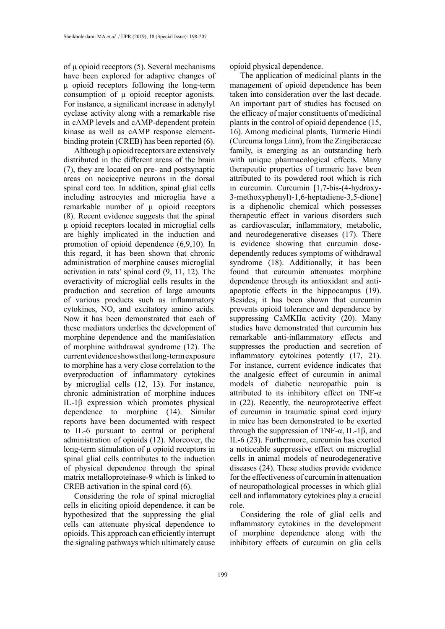of μ opioid receptors (5). Several mechanisms have been explored for adaptive changes of μ opioid receptors following the long-term consumption of μ opioid receptor agonists. For instance, a significant increase in adenylyl cyclase activity along with a remarkable rise in cAMP levels and cAMP-dependent protein kinase as well as cAMP response elementbinding protein (CREB) has been reported (6).

Although μ opioid receptors are extensively distributed in the different areas of the brain (7), they are located on pre- and postsynaptic areas on nociceptive neurons in the dorsal spinal cord too. In addition, spinal glial cells including astrocytes and microglia have a remarkable number of μ opioid receptors (8). Recent evidence suggests that the spinal μ opioid receptors located in microglial cells are highly implicated in the induction and promotion of opioid dependence (6,9,10). In this regard, it has been shown that chronic administration of morphine causes microglial activation in rats' spinal cord (9, 11, 12). The overactivity of microglial cells results in the production and secretion of large amounts of various products such as inflammatory cytokines, NO, and excitatory amino acids. Now it has been demonstrated that each of these mediators underlies the development of morphine dependence and the manifestation of morphine withdrawal syndrome (12). The current evidence shows that long-term exposure to morphine has a very close correlation to the overproduction of inflammatory cytokines by microglial cells (12, 13). For instance, chronic administration of morphine induces IL-1β expression which promotes physical dependence to morphine (14). Similar reports have been documented with respect to IL-6 pursuant to central or peripheral administration of opioids (12). Moreover, the long-term stimulation of μ opioid receptors in spinal glial cells contributes to the induction of physical dependence through the spinal matrix metalloproteinase-9 which is linked to CREB activation in the spinal cord (6).

Considering the role of spinal microglial cells in eliciting opioid dependence, it can be hypothesized that the suppressing the glial cells can attenuate physical dependence to opioids. This approach can efficiently interrupt the signaling pathways which ultimately cause

opioid physical dependence.

The application of medicinal plants in the management of opioid dependence has been taken into consideration over the last decade. An important part of studies has focused on the efficacy of major constituents of medicinal plants in the control of opioid dependence (15, 16). Among medicinal plants, Turmeric Hindi (Curcuma longa Linn), from the Zingiberaceae family, is emerging as an outstanding herb with unique pharmacological effects. Many therapeutic properties of turmeric have been attributed to its powdered root which is rich in curcumin. Curcumin [1,7-bis-(4-hydroxy-3-methoxyphenyl)-1,6-heptadiene-3,5-dione] is a diphenolic chemical which possesses therapeutic effect in various disorders such as cardiovascular, inflammatory, metabolic, and neurodegenerative diseases (17). There is evidence showing that curcumin dosedependently reduces symptoms of withdrawal syndrome (18). Additionally, it has been found that curcumin attenuates morphine dependence through its antioxidant and antiapoptotic effects in the hippocampus (19). Besides, it has been shown that curcumin prevents opioid tolerance and dependence by suppressing CaMKIIα activity (20). Many studies have demonstrated that curcumin has remarkable anti-inflammatory effects and suppresses the production and secretion of inflammatory cytokines potently (17, 21). For instance, current evidence indicates that the analgesic effect of curcumin in animal models of diabetic neuropathic pain is attributed to its inhibitory effect on TNF-α in (22). Recently, the neuroprotective effect of curcumin in traumatic spinal cord injury in mice has been demonstrated to be exerted through the suppression of TNF- $\alpha$ , IL-1 $\beta$ , and IL-6 (23). Furthermore, curcumin has exerted a noticeable suppressive effect on microglial cells in animal models of neurodegenerative diseases (24). These studies provide evidence for the effectiveness of curcumin in attenuation of neuropathological processes in which glial cell and inflammatory cytokines play a crucial role.

Considering the role of glial cells and inflammatory cytokines in the development of morphine dependence along with the inhibitory effects of curcumin on glia cells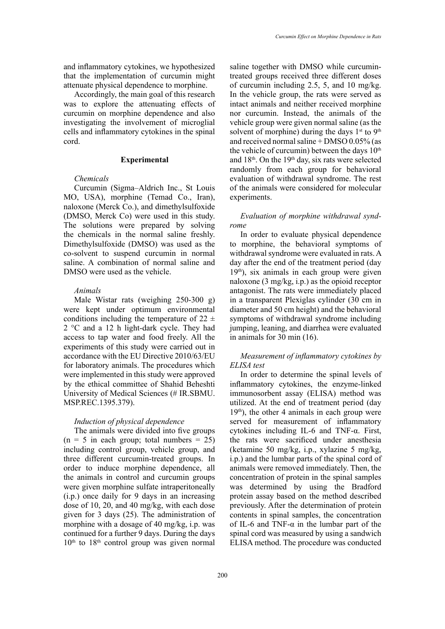and inflammatory cytokines, we hypothesized that the implementation of curcumin might attenuate physical dependence to morphine.

Accordingly, the main goal of this research was to explore the attenuating effects of curcumin on morphine dependence and also investigating the involvement of microglial cells and inflammatory cytokines in the spinal cord.

#### **Experimental**

# *Chemicals*

Curcumin (Sigma–Aldrich Inc., St Louis MO, USA), morphine (Temad Co., Iran), naloxone (Merck Co.), and dimethylsulfoxide (DMSO, Merck Co) were used in this study. The solutions were prepared by solving the chemicals in the normal saline freshly. Dimethylsulfoxide (DMSO) was used as the co-solvent to suspend curcumin in normal saline. A combination of normal saline and DMSO were used as the vehicle.

#### *Animals*

Male Wistar rats (weighing 250-300 g) were kept under optimum environmental conditions including the temperature of  $22 \pm$ 2 °C and a 12 h light-dark cycle. They had access to tap water and food freely. All the experiments of this study were carried out in accordance with the EU Directive 2010/63/EU for laboratory animals. The procedures which were implemented in this study were approved by the ethical committee of Shahid Beheshti University of Medical Sciences (# IR.SBMU. MSP.REC.1395.379).

## *Induction of physical dependence*

The animals were divided into five groups  $(n = 5$  in each group; total numbers = 25) including control group, vehicle group, and three different curcumin-treated groups. In order to induce morphine dependence, all the animals in control and curcumin groups were given morphine sulfate intraperitoneally (i.p.) once daily for 9 days in an increasing dose of 10, 20, and 40 mg/kg, with each dose given for 3 days (25). The administration of morphine with a dosage of 40 mg/kg, i.p. was continued for a further 9 days. During the days  $10<sup>th</sup>$  to  $18<sup>th</sup>$  control group was given normal

saline together with DMSO while curcumintreated groups received three different doses of curcumin including 2.5, 5, and 10 mg/kg. In the vehicle group, the rats were served as intact animals and neither received morphine nor curcumin. Instead, the animals of the vehicle group were given normal saline (as the solvent of morphine) during the days  $1<sup>st</sup>$  to  $9<sup>th</sup>$ and received normal saline + DMSO 0.05% (as the vehicle of curcumin) between the days  $10<sup>th</sup>$ and  $18<sup>th</sup>$ . On the  $19<sup>th</sup>$  day, six rats were selected randomly from each group for behavioral evaluation of withdrawal syndrome. The rest of the animals were considered for molecular experiments.

# *Evaluation of morphine withdrawal syndrome*

In order to evaluate physical dependence to morphine, the behavioral symptoms of withdrawal syndrome were evaluated in rats. A day after the end of the treatment period (day  $19<sup>th</sup>$ ), six animals in each group were given naloxone (3 mg/kg, i.p.) as the opioid receptor antagonist. The rats were immediately placed in a transparent Plexiglas cylinder (30 cm in diameter and 50 cm height) and the behavioral symptoms of withdrawal syndrome including jumping, leaning, and diarrhea were evaluated in animals for 30 min (16).

## *Measurement of inflammatory cytokines by ELISA test*

In order to determine the spinal levels of inflammatory cytokines, the enzyme-linked immunosorbent assay (ELISA) method was utilized. At the end of treatment period (day  $19<sup>th</sup>$ ), the other 4 animals in each group were served for measurement of inflammatory cytokines including IL-6 and TNF-α. First, the rats were sacrificed under anesthesia (ketamine 50 mg/kg, i.p., xylazine 5 mg/kg, i.p.) and the lumbar parts of the spinal cord of animals were removed immediately. Then, the concentration of protein in the spinal samples was determined by using the Bradford protein assay based on the method described previously. After the determination of protein contents in spinal samples, the concentration of IL-6 and TNF- $\alpha$  in the lumbar part of the spinal cord was measured by using a sandwich ELISA method. The procedure was conducted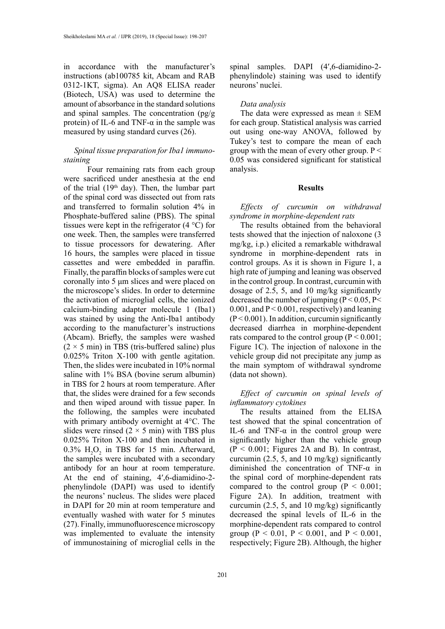in accordance with the manufacturer's instructions (ab100785 kit, Abcam and RAB 0312-1KT, sigma). An AQ8 ELISA reader (Biotech, USA) was used to determine the amount of absorbance in the standard solutions and spinal samples. The concentration  $(pg/g)$ protein) of IL-6 and TNF- $α$  in the sample was measured by using standard curves (26).

## *Spinal tissue preparation for Iba1 immunostaining*

 Four remaining rats from each group were sacrificed under anesthesia at the end of the trial  $(19<sup>th</sup>$  day). Then, the lumbar part of the spinal cord was dissected out from rats and transferred to formalin solution 4% in Phosphate-buffered saline (PBS). The spinal tissues were kept in the refrigerator (4 °C) for one week. Then, the samples were transferred to tissue processors for dewatering. After 16 hours, the samples were placed in tissue cassettes and were embedded in paraffin. Finally, the paraffin blocks of samples were cut coronally into 5 μm slices and were placed on the microscope's slides. In order to determine the activation of microglial cells, the ionized calcium-binding adapter molecule 1 (Iba1) was stained by using the Anti-Iba1 antibody according to the manufacturer's instructions (Abcam). Briefly, the samples were washed  $(2 \times 5 \text{ min})$  in TBS (tris-buffered saline) plus 0.025% Triton X-100 with gentle agitation. Then, the slides were incubated in 10% normal saline with 1% BSA (bovine serum albumin) in TBS for 2 hours at room temperature. After that, the slides were drained for a few seconds and then wiped around with tissue paper. In the following, the samples were incubated with primary antibody overnight at 4°C. The slides were rinsed  $(2 \times 5 \text{ min})$  with TBS plus 0.025% Triton X-100 and then incubated in 0.3%  $H_2O_2$  in TBS for 15 min. Afterward, the samples were incubated with a secondary antibody for an hour at room temperature. At the end of staining, 4′,6-diamidino-2 phenylindole (DAPI) was used to identify the neurons' nucleus. The slides were placed in DAPI for 20 min at room temperature and eventually washed with water for 5 minutes (27). Finally, immunofluorescence microscopy was implemented to evaluate the intensity of immunostaining of microglial cells in the

spinal samples. DAPI (4',6-diamidino-2phenylindole) staining was used to identify neurons' nuclei.

#### *Data analysis*

The data were expressed as mean  $\pm$  SEM for each group. Statistical analysis was carried out using one-way ANOVA, followed by Tukey's test to compare the mean of each group with the mean of every other group.  $P \leq$ 0.05 was considered significant for statistical analysis.

#### **Results**

*Effects of curcumin on withdrawal syndrome in morphine-dependent rats*

The results obtained from the behavioral tests showed that the injection of naloxone (3 mg/kg, i.p.) elicited a remarkable withdrawal syndrome in morphine-dependent rats in control groups. As it is shown in Figure 1, a high rate of jumping and leaning was observed in the control group. In contrast, curcumin with dosage of 2.5, 5, and 10 mg/kg significantly decreased the number of jumping  $(P < 0.05, P <$  $0.001$ , and  $P < 0.001$ , respectively) and leaning  $(P<0.001)$ . In addition, curcumin significantly decreased diarrhea in morphine-dependent rats compared to the control group  $(P < 0.001)$ ; Figure 1C). The injection of naloxone in the vehicle group did not precipitate any jump as the main symptom of withdrawal syndrome (data not shown).

*Effect of curcumin on spinal levels of inflammatory cytokines*

The results attained from the ELISA test showed that the spinal concentration of IL-6 and TNF- $\alpha$  in the control group were significantly higher than the vehicle group  $(P < 0.001$ ; Figures 2A and B). In contrast, curcumin  $(2.5, 5, \text{ and } 10 \text{ mg/kg})$  significantly diminished the concentration of TNF-α in the spinal cord of morphine-dependent rats compared to the control group  $(P < 0.001)$ ; Figure 2A). In addition, treatment with curcumin (2.5, 5, and 10 mg/kg) significantly decreased the spinal levels of IL-6 in the morphine-dependent rats compared to control group (P < 0.01, P < 0.001, and P < 0.001, respectively; Figure 2B). Although, the higher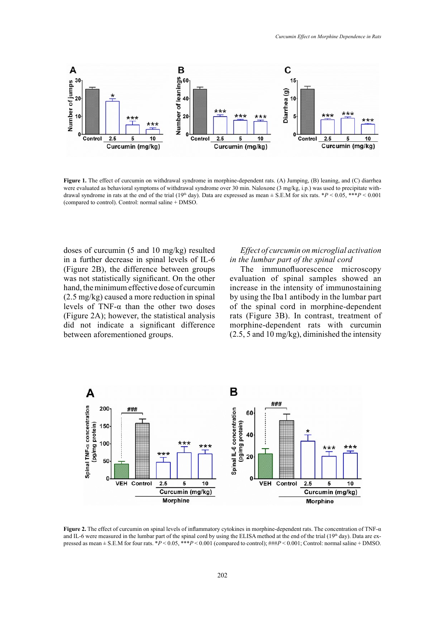

Figure 1. The effect of curcumin on withdrawal syndrome in morphine-dependent rats. (A) Jumping, (B) leaning, and (C) diarrhea<br>were evaluated as behavioral symptoms of withdrawal syndrome over 30 min. Naloxone (3 mg/kg, i. drawal syndrome in rats at the end of the trial (19<sup>th</sup> day). Data are expressed as mean  $\pm$  S.E.M for six rats. \*P < 0.05, \*\*\*P < 0.001 (compared to control). Control: normal saline + DMSO. **Figure 1.** The effect of curcumin on withdrawal syndrome in morphine-dependent rats. (A) Jumping, (B) leaning, and (C) diarrhea (compared to control). Control: normal saline + DMSO.

doses of curcumin (5 and 10 mg/kg) resulted in a further decrease in spinal levels of IL-6 (Figure 2B), the difference between groups was not statistically significant. On the other hand, the minimum effective dose of curcumin (2.5 mg/kg) caused a more reduction in spinal levels of TNF-α than the other two doses (Figure 2A); however, the statistical analysis did not indicate a significant difference between aforementioned groups.

## *Effect of curcumin on microglial activation in the lumbar part of the spinal cord*

The immunofluorescence microscopy evaluation of spinal samples showed an increase in the intensity of immunostaining by using the Iba1 antibody in the lumbar part of the spinal cord in morphine-dependent rats (Figure 3B). In contrast, treatment of morphine-dependent rats with curcumin (2.5, 5 and 10 mg/kg), diminished the intensity



and IL-6 were measured in the lumbar part of the spinal cord by using the ELISA method at the end of the trial (19th day). Data are expressed as mean  $\pm$  S.E.M for four rats. \* $P < 0.05$ , \*\*\* $P < 0.001$  (compared to control); ### $P < 0.001$ ; Control: normal saline + DMSO. **Figure 2.** The effect of curcumin on spinal levels of inflammatory cytokines in morphine-dependent rats. The concentration of TNF-α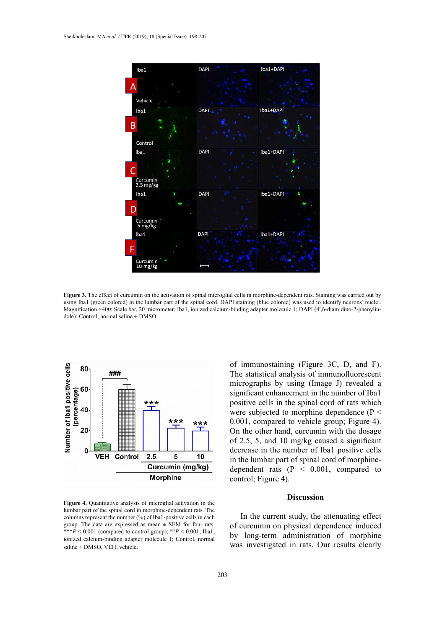

Figure 3. The effect of curcumin on the activation of spinal microglial cells in morphine-dependent rats. Staining was carried out by Magnification ×400; Scale bar, 20 micrometer; Iba1, ionized calcium-binding adapter molecule 1; DAPI (4',6-diamidino-2-phenylin- $\mathcal{L}_{\text{NLO}}$  sustaining (blue colored). using Iba1 (green colored) in the lumbar part of the spinal cord. DAPI staining (blue colored) was used to identify neurons' nuclei. dole); Control, normal saline + DMSO.



**Figure 4.** Quantitative analysis of microglial activation in the **Figure 4.** Quantitative analysis of microglial activation in the lumbar part of the spinal cord in morphine-dependent rats. The  $\frac{1}{2}$  is the surfact of  $\frac{1}{2}$ group. The data are expressed as mean  $\pm$  SEM for four rats. of curcumin on ph ionized calcium-binding adapter molecule 1; Control, normal by long-term adi columns represent the number (%) of Iba1-positive cells in each \*\*\**P* < 0.001 (compared to control group);  $\frac{\mu}{P}$  < 0.001; Iba1, saline + DMSO, VEH, vehicle.

of immunostaining (Figure 3C, D, and F). The statistical analysis of immunofluorescent micrographs by using (Image J) revealed a significant enhancement in the number of Iba1 positive cells in the spinal cord of rats which were subjected to morphine dependence (P < 0.001, compared to vehicle group; Figure 4). On the other hand, curcumin with the dosage of 2.5, 5, and 10 mg/kg caused a significant decrease in the number of Iba1 positive cells in the lumbar part of spinal cord of morphinedependent rats (P < 0.001, compared to control; Figure 4).

## **Discussion**

In the current study, the attenuating effect of curcumin on physical dependence induced by long-term administration of morphine was investigated in rats. Our results clearly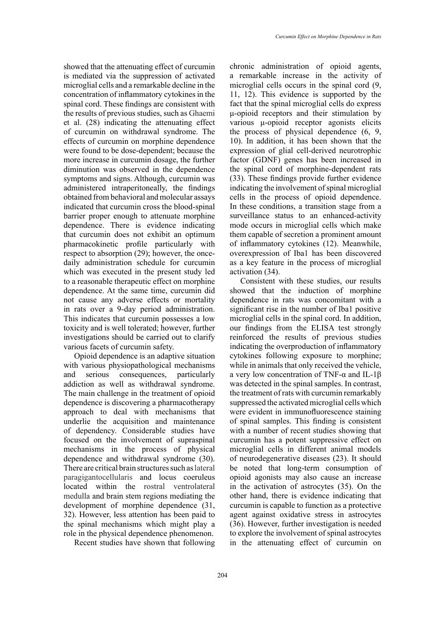showed that the attenuating effect of curcumin is mediated via the suppression of activated microglial cells and a remarkable decline in the concentration of inflammatory cytokines in the spinal cord. These findings are consistent with the results of previous studies, such as Ghaemi et al. (28) indicating the attenuating effect of curcumin on withdrawal syndrome. The effects of curcumin on morphine dependence were found to be dose-dependent; because the more increase in curcumin dosage, the further diminution was observed in the dependence symptoms and signs. Although, curcumin was administered intraperitoneally, the findings obtained from behavioral and molecular assays indicated that curcumin cross the blood-spinal barrier proper enough to attenuate morphine dependence. There is evidence indicating that curcumin does not exhibit an optimum pharmacokinetic profile particularly with respect to absorption (29); however, the oncedaily administration schedule for curcumin which was executed in the present study led to a reasonable therapeutic effect on morphine dependence. At the same time, curcumin did not cause any adverse effects or mortality in rats over a 9-day period administration. This indicates that curcumin possesses a low toxicity and is well tolerated; however, further investigations should be carried out to clarify various facets of curcumin safety.

Opioid dependence is an adaptive situation with various physiopathological mechanisms and serious consequences, particularly addiction as well as withdrawal syndrome. The main challenge in the treatment of opioid dependence is discovering a pharmacotherapy approach to deal with mechanisms that underlie the acquisition and maintenance of dependency. Considerable studies have focused on the involvement of supraspinal mechanisms in the process of physical dependence and withdrawal syndrome (30). There are critical brain structures such as lateral paragigantocellularis and locus coeruleus located within the rostral ventrolateral medulla and brain stem regions mediating the development of morphine dependence (31, 32). However, less attention has been paid to the spinal mechanisms which might play a role in the physical dependence phenomenon.

Recent studies have shown that following

chronic administration of opioid agents, a remarkable increase in the activity of microglial cells occurs in the spinal cord (9, 11, 12). This evidence is supported by the fact that the spinal microglial cells do express μ-opioid receptors and their stimulation by various μ-opioid receptor agonists elicits the process of physical dependence (6, 9, 10). In addition, it has been shown that the expression of glial cell-derived neurotrophic factor (GDNF) genes has been increased in the spinal cord of morphine-dependent rats (33). These findings provide further evidence indicating the involvement of spinal microglial cells in the process of opioid dependence. In these conditions, a transition stage from a surveillance status to an enhanced-activity mode occurs in microglial cells which make them capable of secretion a prominent amount of inflammatory cytokines (12). Meanwhile, overexpression of Iba1 has been discovered as a key feature in the process of microglial activation (34).

Consistent with these studies, our results showed that the induction of morphine dependence in rats was concomitant with a significant rise in the number of Iba1 positive microglial cells in the spinal cord. In addition, our findings from the ELISA test strongly reinforced the results of previous studies indicating the overproduction of inflammatory cytokines following exposure to morphine; while in animals that only received the vehicle, a very low concentration of TNF-α and IL-1β was detected in the spinal samples. In contrast, the treatment of rats with curcumin remarkably suppressed the activated microglial cells which were evident in immunofluorescence staining of spinal samples. This finding is consistent with a number of recent studies showing that curcumin has a potent suppressive effect on microglial cells in different animal models of neurodegenerative diseases (23). It should be noted that long-term consumption of opioid agonists may also cause an increase in the activation of astrocytes (35). On the other hand, there is evidence indicating that curcumin is capable to function as a protective agent against oxidative stress in astrocytes (36). However, further investigation is needed to explore the involvement of spinal astrocytes in the attenuating effect of curcumin on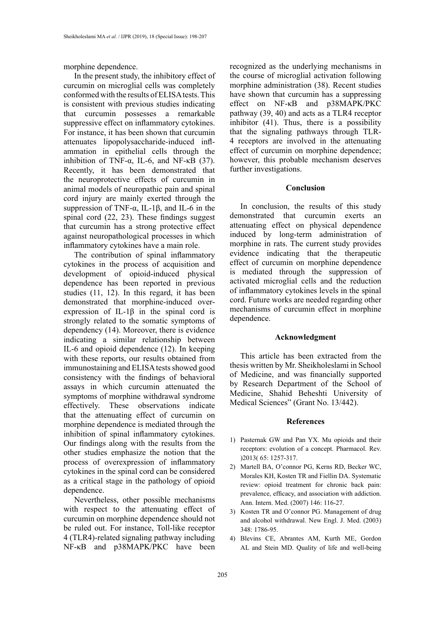morphine dependence.

In the present study, the inhibitory effect of curcumin on microglial cells was completely conformed with the results of ELISA tests. This is consistent with previous studies indicating that curcumin possesses a remarkable suppressive effect on inflammatory cytokines. For instance, it has been shown that curcumin attenuates lipopolysaccharide-induced inflammation in epithelial cells through the inhibition of TNF- $\alpha$ , IL-6, and NF- $\kappa$ B (37). Recently, it has been demonstrated that the neuroprotective effects of curcumin in animal models of neuropathic pain and spinal cord injury are mainly exerted through the suppression of TNF- $\alpha$ , IL-1 $\beta$ , and IL-6 in the spinal cord (22, 23). These findings suggest that curcumin has a strong protective effect against neuropathological processes in which inflammatory cytokines have a main role.

The contribution of spinal inflammatory cytokines in the process of acquisition and development of opioid-induced physical dependence has been reported in previous studies (11, 12). In this regard, it has been demonstrated that morphine-induced overexpression of IL-1β in the spinal cord is strongly related to the somatic symptoms of dependency (14). Moreover, there is evidence indicating a similar relationship between IL-6 and opioid dependence (12). In keeping with these reports, our results obtained from immunostaining and ELISA tests showed good consistency with the findings of behavioral assays in which curcumin attenuated the symptoms of morphine withdrawal syndrome effectively. These observations indicate that the attenuating effect of curcumin on morphine dependence is mediated through the inhibition of spinal inflammatory cytokines. Our findings along with the results from the other studies emphasize the notion that the process of overexpression of inflammatory cytokines in the spinal cord can be considered as a critical stage in the pathology of opioid dependence.

Nevertheless, other possible mechanisms with respect to the attenuating effect of curcumin on morphine dependence should not be ruled out. For instance, Toll-like receptor 4 (TLR4)-related signaling pathway including NF-κB and p38MAPK/PKC have been

recognized as the underlying mechanisms in the course of microglial activation following morphine administration (38). Recent studies have shown that curcumin has a suppressing effect on NF-κB and p38MAPK/PKC pathway (39, 40) and acts as a TLR4 receptor inhibitor (41). Thus, there is a possibility that the signaling pathways through TLR-4 receptors are involved in the attenuating effect of curcumin on morphine dependence; however, this probable mechanism deserves further investigations.

#### **Conclusion**

In conclusion, the results of this study demonstrated that curcumin exerts an attenuating effect on physical dependence induced by long-term administration of morphine in rats. The current study provides evidence indicating that the therapeutic effect of curcumin on morphine dependence is mediated through the suppression of activated microglial cells and the reduction of inflammatory cytokines levels in the spinal cord. Future works are needed regarding other mechanisms of curcumin effect in morphine dependence.

#### **Acknowledgment**

This article has been extracted from the thesis written by Mr. Sheikholeslami in School of Medicine, and was financially supported by Research Department of the School of Medicine, Shahid Beheshti University of Medical Sciences" (Grant No. 13/442).

#### **References**

- 1) Pasternak GW and Pan YX. Mu opioids and their receptors: evolution of a concept. Pharmacol. Rev. )2013( 65: 1257-317.
- 2) Martell BA, O'connor PG, Kerns RD, Becker WC, Morales KH, Kosten TR and Fiellin DA. Systematic review: opioid treatment for chronic back pain: prevalence, efficacy, and association with addiction. Ann. Intern. Med. (2007) 146: 116-27.
- 3) Kosten TR and O'connor PG. Management of drug and alcohol withdrawal. New Engl. J. Med. (2003) 348: 1786-95.
- 4) Blevins CE, Abrantes AM, Kurth ME, Gordon AL and Stein MD. Quality of life and well-being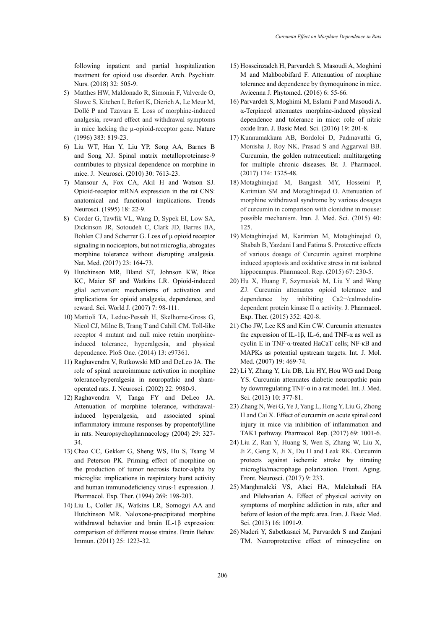following inpatient and partial hospitalization treatment for opioid use disorder. Arch. Psychiatr. Nurs. (2018) 32: 505-9.

- 5) Matthes HW, Maldonado R, Simonin F, Valverde O, Slowe S, Kitchen I, Befort K, Dierich A, Le Meur M, Dollé P and Tzavara E. Loss of morphine-induced analgesia, reward effect and withdrawal symptoms in mice lacking the µ-opioid-receptor gene. Nature (1996) 383: 819-23.
- 6) Liu WT, Han Y, Liu YP, Song AA, Barnes B and Song XJ. Spinal matrix metalloproteinase-9 contributes to physical dependence on morphine in mice. J. Neurosci. (2010) 30: 7613-23.
- 7) Mansour A, Fox CA, Akil H and Watson SJ. Opioid-receptor mRNA expression in the rat CNS: anatomical and functional implications. Trends Neurosci. (1995) 18: 22-9.
- 8) Corder G, Tawfik VL, Wang D, Sypek EI, Low SA, Dickinson JR, Sotoudeh C, Clark JD, Barres BA, Bohlen CJ and Scherrer G. Loss of μ opioid receptor signaling in nociceptors, but not microglia, abrogates morphine tolerance without disrupting analgesia. Nat. Med. (2017) 23: 164-73.
- 9) Hutchinson MR, Bland ST, Johnson KW, Rice KC, Maier SF and Watkins LR. Opioid-induced glial activation: mechanisms of activation and implications for opioid analgesia, dependence, and reward. Sci. World J. (2007) 7: 98-111.
- 10) Mattioli TA, Leduc-Pessah H, Skelhorne-Gross G, Nicol CJ, Milne B, Trang T and Cahill CM. Toll-like receptor 4 mutant and null mice retain morphineinduced tolerance, hyperalgesia, and physical dependence. PloS One. (2014) 13: e97361.
- 11) Raghavendra V, Rutkowski MD and DeLeo JA. The role of spinal neuroimmune activation in morphine tolerance/hyperalgesia in neuropathic and shamoperated rats. J. Neurosci. (2002) 22: 9980-9.
- 12) Raghavendra V, Tanga FY and DeLeo JA. Attenuation of morphine tolerance, withdrawalinduced hyperalgesia, and associated spinal inflammatory immune responses by propentofylline in rats. Neuropsychopharmacology (2004) 29: 327- 34.
- 13) Chao CC, Gekker G, Sheng WS, Hu S, Tsang M and Peterson PK. Priming effect of morphine on the production of tumor necrosis factor-alpha by microglia: implications in respiratory burst activity and human immunodeficiency virus-1 expression. J. Pharmacol. Exp. Ther. (1994) 269: 198-203.
- 14) Liu L, Coller JK, Watkins LR, Somogyi AA and Hutchinson MR. Naloxone-precipitated morphine withdrawal behavior and brain IL-1β expression: comparison of different mouse strains. Brain Behav. Immun. (2011) 25: 1223-32.
- 15) Hosseinzadeh H, Parvardeh S, Masoudi A, Moghimi M and Mahboobifard F. Attenuation of morphine tolerance and dependence by thymoquinone in mice. Avicenna J. Phytomed. (2016) 6: 55-66.
- 16) Parvardeh S, Moghimi M, Eslami P and Masoudi A. α-Terpineol attenuates morphine-induced physical dependence and tolerance in mice: role of nitric oxide Iran. J. Basic Med. Sci. (2016) 19: 201-8.
- 17) Kunnumakkara AB, Bordoloi D, Padmavathi G, Monisha J, Roy NK, Prasad S and Aggarwal BB. Curcumin, the golden nutraceutical: multitargeting for multiple chronic diseases. Br. J. Pharmacol. (2017) 174: 1325-48.
- 18) Motaghinejad M, Bangash MY, Hosseini P, Karimian SM and Motaghinejad O. Attenuation of morphine withdrawal syndrome by various dosages of curcumin in comparison with clonidine in mouse: possible mechanism. Iran. J. Med. Sci. (2015) 40: 125.
- 19) Motaghinejad M, Karimian M, Motaghinejad O, Shabab B, Yazdani I and Fatima S. Protective effects of various dosage of Curcumin against morphine induced apoptosis and oxidative stress in rat isolated hippocampus. Pharmacol. Rep. (2015) 67: 230-5.
- 20) Hu X, Huang F, Szymusiak M, Liu Y and Wang ZJ. Curcumin attenuates opioid tolerance and dependence by inhibiting Ca2+/calmodulindependent protein kinase II α activity. J. Pharmacol. Exp. Ther. (2015) 352: 420-8.
- 21) Cho JW, Lee KS and Kim CW. Curcumin attenuates the expression of IL-1β, IL-6, and TNF- $\alpha$  as well as cyclin E in TNF-α-treated HaCaT cells; NF-κB and MAPKs as potential upstream targets. Int. J. Mol. Med. (2007) 19: 469-74.
- 22) Li Y, Zhang Y, Liu DB, Liu HY, Hou WG and Dong YS. Curcumin attenuates diabetic neuropathic pain by downregulating TNF-α in a rat model. Int. J. Med. Sci. (2013) 10: 377-81.
- 23) Zhang N, Wei G, Ye J, Yang L, Hong Y, Liu G, Zhong H and Cai X. Effect of curcumin on acute spinal cord injury in mice via inhibition of inflammation and TAK1 pathway. Pharmacol. Rep. (2017) 69: 1001-6.
- 24) Liu Z, Ran Y, Huang S, Wen S, Zhang W, Liu X, Ji Z, Geng X, Ji X, Du H and Leak RK. Curcumin protects against ischemic stroke by titrating microglia/macrophage polarization. Front. Aging. Front. Neurosci. (2017) 9: 233.
- 25) Marghmaleki VS, Alaei HA, Malekabadi HA and Pilehvarian A. Effect of physical activity on symptoms of morphine addiction in rats, after and before of lesion of the mpfc area. Iran. J. Basic Med. Sci. (2013) 16: 1091-9.
- 26) Naderi Y, Sabetkasaei M, Parvardeh S and Zanjani TM. Neuroprotective effect of minocycline on